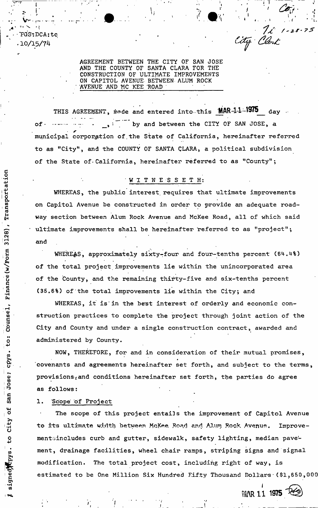PGS: DCA: tc 10/15/74

Transportation

Finance (w/Form 3128),

Counsel,

to:

Jose; cpys

San

ð

signed to city

 $1 - 28 - 75$ *fa* 

t

AGREEMENT BETWEEN THE CITY OF SAN JOSE AND THE COUNTY OF SANTA CLARA FOR THE CONSTRUCTION OF ULTIMATE IMPROVEMENTS ON CAPITOL AVENUE BETWEEN- ALUM ROCK AVENUE AND MC KEE ROAD

V- - . --r • *m* •

THIS AGREEMENT, made and entered into-this **MAR-1-1-1975** day of  $\cdots$   $\cdots$   $\cdots$   $\cdots$   $\cdots$   $\cdots$   $\cdots$   $\cdots$   $\cdots$  by and between the CITY OF SAN JOSE, a municipal corporation of.the State of California, hereinafter referred to as "City", and the COUNTY OF SANTA CLARA, a political subdivision of the State of California, hereinafter referred to as "County";

## W I T N E S S E T H:

WHEREAS, the public interest, requires that ultimate improvements on Capitol Avenue be constructed in order to provide an adequate roadway section between Alum Rock Avenue and McKee Road, all of which said • ultimate improvements shall be hereinafter referred to as "project"; and

WHEREAS, approximately sixty-four and four-tenths percent (64.4%) of the total project improvements lie within the unincorporated area of the County, and the remaining thirty-five and six-tenths percent (35.6%) of the total improvements lie within the City; and

WHEREAS, it is in the best interest of orderly and economic construction practices to complete the project through joint action of the City and County and under a single construction contract, awarded and administered by County.

NOW, THEREFORE, for and in consideration of their mutual promises, covenants and agreements hereinafter set forth, and subject to the terms, provisions<sub>i</sub> and conditions hereinafter set forth, the parties do agree as follows:

## 1. Scope' of Project

The scope of this project entails the improvement of Capitol Avenue to its ultimate width between McKee Road and Alum Rock Avenue. Improvementsincludes curb and gutter, sidewalk, safety lighting, median pavement, drainage facilities, wheel chair ramps, striping signs and signal modification. The total project cost, including right of way, is estimated to be One Million Six Hundred Fifty Thousand Dollars (\$1,650,00

> *i*  **MAR 11 1975**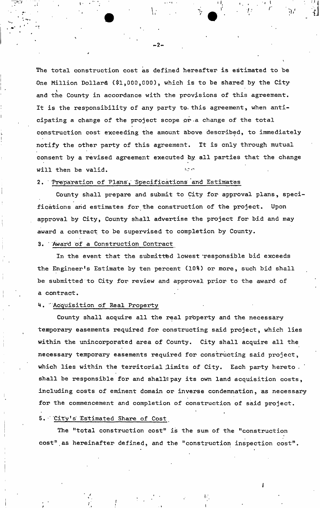The total construction cost as defined hereafter is estimated to be One Million Dollars (\$1,000,000), which is to be shared by the City and the County in accordance with the provisions of this agreement. It is the responsibility of any party to. this agreement, when anticipating a change of the project scope or-a change of the total construction cost exceeding the amount above described, to immediately notify the other party of this agreement. It is only through mutual consent by a revised agreement executed by all parties that the change will then be valid. ^

### 2. Preparation of Plans, Specifications and Estimates

County shall prepare and submit to City for approval plans, specifications and estimates for the construction of the project. Upon approval by City, County shall advertise the project for bid and may award a contract to be supervised to completion by County.

### 3. ' Award of a Construction Contract

In the event that the submitted lowest 'responsible bid exceeds the Engineer's Estimate by ten percent (10%) or more, such bid shall be submitted to City for review and approval prior to the award of a contract.

# H. " Acquisition of Real Property

County shall acquire all the real pr'operty and the necessary temporary easements required for constructing said project, which lies within the unincorporated area of County. City shall acquire all the necessary temporary easements required for constructing said project, which lies within the territorial limits of City. Each party hereto. shall be responsible for and shallfpay its own land acquisition costs, including costs of eminent domain or inverse condemnation, as necessary for the commencement and completion of construction of said project.

### 5. City's Estimated Share of Cost

The "total construction cost" is the sum of the "construction cost".as hereinafter defined, and the "construction inspection cost".

*I* 

-2-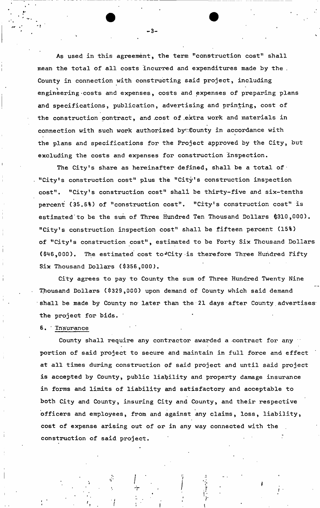As used in this agreement, the term "construction cost" shall mean the total of all costs incurred and expenditures made by the . County in connection with constructing said project, including K engineering-costs and expenses, costs and expenses of preparing plans and specifications, publication, advertising and printing, cost of the construction contract, and cost of extra work and materials in connection with such work authorized by :: County in accordance with the plans and specifications for the Project approved by the City, but excluding the costs and expenses for construction inspection.

The City's share as hereinafter defined, shall be a total of "City's construction cost" plus the "City's construction inspection cost", "City's construction cost" shali be thirty-five and six-tenths percent (35,6%) of "construction cost". "City's construction cost" is estimated'to be the sum of Three Hundred Ten Thousand Dollars \$310,000). "City's construction inspection cost" shall be fifteen percent (15%) of "City's construction cost", estimated to be Forty Six Thousand Dollars (\$46,000). The estimated cost to\*City is therefore Three Hundred Fifty Six Thousand Dollars (\$356,000).

City agrees to pay to County the sum of Three Hundred Twenty Nine Thousand Dollars (\$329,000) upon demand of County which said demand shall be made by County no later than the 21 days after County advertises the project for bids. '

# 6. ' Insurance

County shall require any contractor awarded a contract for any portion of said project to secure and maintain in full force and effect at all times during construction of said project and until said project is accepted by County, public liability and property damage insurance in forms and limits of liability and satisfactory and acceptable to both City and County, insuring City and County, and their respective officers and employees, from and against any claims, loss, liability, cost of expense arising out of or in any way connected with the construction of said project.

-3-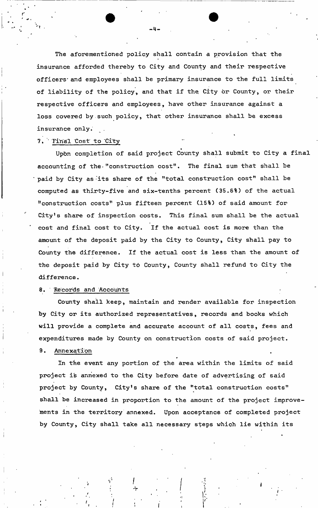The aforementioned policy shall contain a provision that the insurance afforded thereby to City and County and their respective officers' and employees shall be primary insurance to the full limits of liability of the policy, and that if the City or County, or their respective officers and employees, have other insurance against a loss covered by such policy, that other insurance shall be excess insurance only.

# 7. Final Cost to City

Upon completion of said project County shall submit to City a final accounting of the-"construction cost". The final sum that shall be paid by City as 'its share of the "total construction cost" shall be computed as thirty-five and six-tenths percent (35,6%) of the actual "construction costs" plus fifteen percent (15%) of said amount for City's share of inspection costs. This final sum shall be the actual cost and final cost to City. If the actual cost is more than the amount of the deposit paid by the City to County, City shall pay to County the difference. If the actual cost is less than the amount of the deposit paid by City to County, County shall refund to City the difference.

## 8. Records and Accounts

County shall keep, maintain and render available for inspection by City or its authorized representatives, records and books which will provide a complete and accurate account of all costs, fees and expenditures made by County on construction costs of said project.

# 9. Annexation

In the event any portion of the area within the limits of said project is annexed to the City before date of advertising of said project by County, City's share of the "total construction costs" shall be increased in proportion to the amount of the project improvements in the territory annexed. Upon acceptance of completed project by County, City shall take all necessary steps which lie within its

«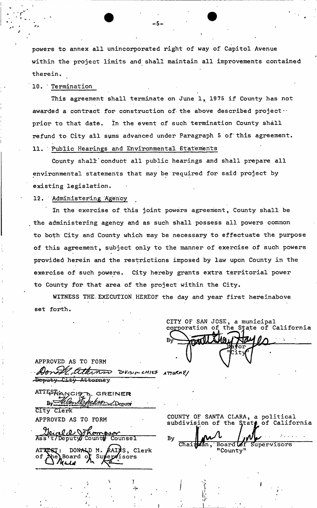powers to annex all unincorporated right of way of Capitol Avenue within the project limits and shall maintain all improvements contained therein.

10. ' Termination

This agreement shall terminate on June 1, 1975 if County has not awarded a contract for construction of the above described project $\cdots$ prior to that date. In the event of such termination County shall refund to City all sums advanced under Paragraph 5 of'this agreement. 11. \* Public Hearings and Environmental Statements

County shall'conduct all public hearings and shall prepare all environmental statements that may be required for said project by existing legislation.

### 12. Administering Agency

In the exercise of this joint powers agreement, County shall be the administering agency and as such shall possess all powers common to both City and County which may be necessary to effectuate the purpose of this agreement, subject only to the manner of exercise of such powers provided herein and the restrictions imposed by law upon County in the exercise of such powers. City hereby grants extra territorial power to County for that area of the project within the City.

WITNESS THE EXECUTION HEREOF the day and year first hereinabove set forth.

CITY OF SAN JOSE, a municipal the State of California *c.HIVf- ATroitnH/* 

|            |                      | Donate atterno DVISIA CHIE |
|------------|----------------------|----------------------------|
|            | Deputy City Attorney |                            |
|            | ATTESRANCIZA GREINER |                            |
|            |                      | eckson Deputy              |
| City Clerk |                      |                            |

APPROVED AS TO FORM

APPROVED AS TO FORM

*<u>Jeice a Jot</u>*<br>Ass to Deputy Co  $\overline{{\tt Deputy}}$  $\overline{\mathtt{Counter}}$ ATTEST: DONALD M. board c AAINS, Clerk 'isors

COUNTY OF SANTA CLARA, a political subdivision of the State of California

Chair**M**an Board **Lef** Supervisors "County"

-5-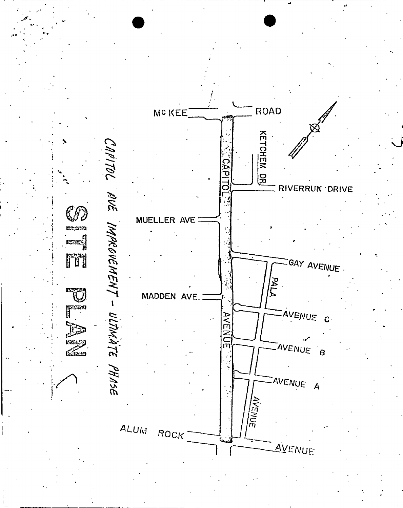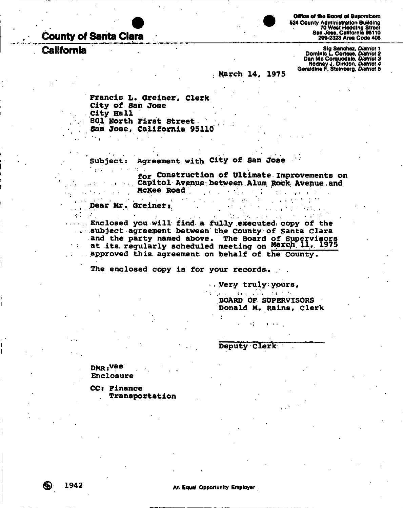**County of Santa Clara** 

**California** 



Office of the Board of Suporvicers **524 County Administration Building 70 West Heddlng Street San Jose, California 86110 299-2323 Area Code 408** 

Sig Sanchez, *District 1*<br>Dominic L. Cortese, *District 2*<br>Dan Mc Corquodale, *District 3*<br>Rodney J. Diridon, *District 4*<br>Geraldine F. Steinberg, *District 5* 

**March 14, 1975** 

**Francis L. Greiner, clerk City of San Jose City Hall 801 North First Street San Jose, California 95110** 

**Subject: Agreement with City of San Jose** 

**for Construction of Ultimate Improvements on**  Capitol Avenue between Alum Rock Avenue and **McKee Rpad . . , ,** 

**Dear'Mr. Greineti** 

...... Enclosed you will find a fully executed copy of the **Enclose Subject agreement between the County of Santa Clara** and the party named above. The Board of Supervisors at its regularly scheduled meeting on March 11, 1975 approved this agreement on behalf of the County. **approved this agreement on behalf of the County.** 

**• . • • ' • : . • .** *>* **- i • \* . • •** 

**The enclosed copy is for your records.. .** 

**• . Very truly:yours,** 

**BOARD OF SUPERVISORS Donald M. Rains, Clerk** 

**Deputy Clerk** 

DMR.vas **Enclosure** 

**CCt Finance . Transportation**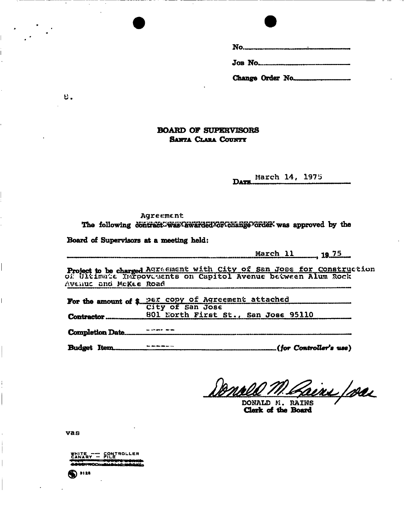Change Order No.

### **BOARD OF SUPERVISORS SANTA CLARA COUNTY**

March 14, 1975

### Agreement

The following contract was awarded for change forder was approved by the

Board of Supervisors at a meeting held:

March 11 19.75

Project to be charged Agreement with City of San Jose for Construction<br>of Ultimate Inroovements on Capitol Avenue between Alum Rock Avenue and McKee Road

|     | For the amount of \$ per copy of Agreement attached city of San Jose |  |  |
|-----|----------------------------------------------------------------------|--|--|
|     |                                                                      |  |  |
|     |                                                                      |  |  |
|     |                                                                      |  |  |
| ___ | .                                                                    |  |  |

Budget Item.  $\mathcal{L}$  (for Controller's use).

Bonn <u>'ains foras</u>

DONALD M. RAINS Clerk of the Board

vas

WHITE -- CONTROLLER TYP.  $\bullet$  3128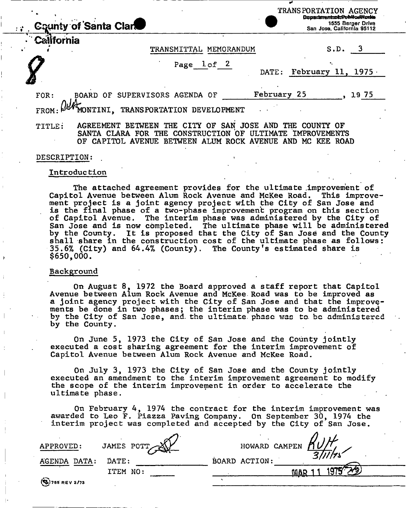| <b>County of Santa Clar</b> | 1555 Berger Drive<br>San Jose, California 95112 |
|-----------------------------|-------------------------------------------------|
|                             |                                                 |

• Cainornia

TRANSPORTATION AGENCY **Dopartmentspt:PubHorfWorks**<br>1555 Berger Drive

#### TRANSMITTAL MEMORANDUM S.D.

#### Page lof 2

| -<br>$\sim$<br>٠ |  |
|------------------|--|
|                  |  |

3

DATE: February 11, 1975.

FOR: BOARD OF SUPERVISORS AGENDA OF February 25, 1975

FROM: WANDNIINI, TRANSPORTATION DEVELOPMENT

TITLE: AGREEMENT BETWEEN THE CITY OF SAN JOSE AND THE COUNTY OF SANTA CLARA FOR THE CONSTRUCTION OF ULTIMATE IMPROVEMENTS OF CAPITOL AVENUE BETWEEN ALUM ROCK AVENUE AND MC KEE ROAD

#### DESCRIPTION:

#### Introduction

The attached agreement provides for the ultimate improvement of Capitol Avenue between Alum Rock Avenue and McKee Road. This improvement project is a joint agency project with the City of San Jose and is the final phase of a two-phase improvement program on this section of Capitol Avenue. The interim phase was administered by the City of San Jose and is now completed. The ultimate phase will be administered by the County. It is proposed that the City of San Jose and the County shall share in the construction cost of the ultimate phase as follows: 35.6% (City) and 64.4% (County). The County's estimated share is \$650,000.

#### Background

On August 8, 1972 the Board approved a staff report that Capitol Avenue between Alum Rock Avenue and McKee. Road was to be improved as a joint agency project with the City of San Jose and that the improvements be done in two phases; the interim phase was to be administered by the City of San Jose, and. the ultimate, phase was to. be administered by the County.

On June 5, 1973 the City of San Jose and the County jointly executed a cost sharing agreement for the interim improvement of Capitol Avenue between Alum Rock Avenue and McKee Road.

On July 3, 1973 the City of San Jose and the County jointly executed an amendment to the interim improvement agreement to modify the scope of the interim improvement in order to accelerate the ultimate phase.

On February 4, 1974 the contract for the interim improvement was awarded to Leo F. Piazza Paving Company. On September 30, 1974 the interim project was completed and accepted by the City of San Jose.

| APPROVED:                | JAMES POTT | HOWARD CAMPEN                  |
|--------------------------|------------|--------------------------------|
| AGENDA DATA:             | DATE:      | $\frac{1}{2}$<br>BOARD ACTION: |
|                          | ITEM NO:   |                                |
| $\left( 9, 755$ REV 2/73 |            |                                |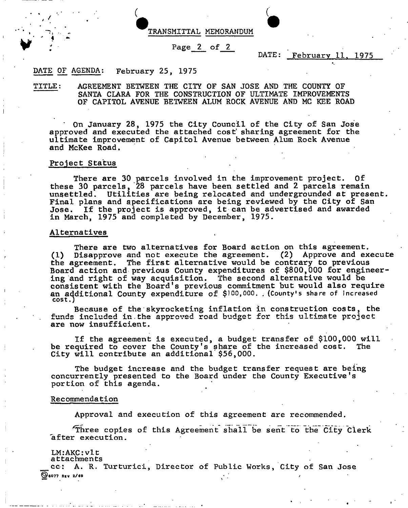

#### Page 2 of 2

### DATE: February 11, 1975

#### February 25, 1975 DATE OF AGENDA:

• *4* >

 $\mathbf{F} \times \mathbf{r}$  . In the  $\mathbf{F}$ 

TITLE: AGREEMENT BETWEEN THE CITY OF SAN JOSE AND THE COUNTY OF SANTA CLARA FOR THE CONSTRUCTION OF ULTIMATE IMPROVEMENTS OF CAPITOL AVENUE BETWEEN ALUM ROCK AVENUE AND MC KEE ROAD

On January 28, 1975 the City Council of the City of San Jose approved and executed the attached cost sharing agreement for the ultimate improvement of Capitol Avenue between Alum Rock Avenue and McKee Road.

#### Project Status

There are 30 parcels involved in the improvement project. Of these 30 parcels, 28 parcels have been settled and 2 parcels remain unsettled. Utilities are being relocated and undergrounded at present. Final plans and specifications are being reviewed by the City of San Jose. If the project is approved, it can be advertised and awarded in March, 1975 and completed by December, 1975.

#### Alternatives

There are two alternatives for Board action on this agreement. (1) Disapprove and not execute the agreement. (2) Approve and execute the agreement. The first alternative would be contrary to previous Board action and previous County expenditures of \$800,000 for engineering and right of way acquisition. The second alternative would be consistent with the Board's previous commitment but would also require an additional County expenditure of \$100,000. . (County's share of increased cost.)

Because of the skyrocketing inflation in construction costs, the funds included in.the approved road budget for this ultimate project are now insufficient.

If the agreement is executed, a budget transfer of \$100,000 will be required to cover the County's share of the increased cost. The City will contribute an additional'\$56,000.

The budget increase and the budget transfer request are being concurrently presented to the Board under the County Executive's portion of this agenda.

#### Recommendation

Approval and execution of this agreement are recommended.

Three copies of this Agreement shall be sent to the City Clerk after execution.

### LM:AKC: vlt

attachments

cc: A. R. Turturici, Director of Public Works, City of San Jose **Se077 REV 2/69**